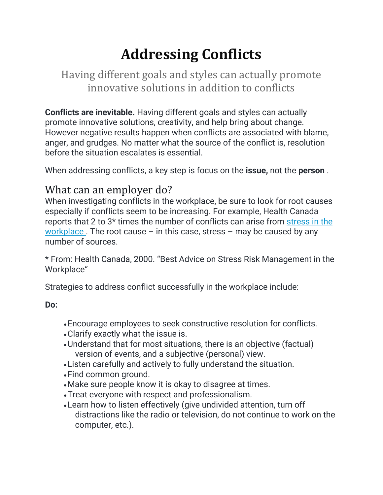# **Addressing Conflicts**

Having different goals and styles can actually promote innovative solutions in addition to conflicts

**Conflicts are inevitable.** Having different goals and styles can actually promote innovative solutions, creativity, and help bring about change. However negative results happen when conflicts are associated with blame, anger, and grudges. No matter what the source of the conflict is, resolution before the situation escalates is essential.

When addressing conflicts, a key step is focus on the **issue,** not the **person** .

## What can an employer do?

When investigating conflicts in the workplace, be sure to look for root causes especially if conflicts seem to be increasing. For example, Health Canada reports that 2 to 3\* times the number of conflicts can arise from [stress in the](http://www.ccohs.ca/oshanswers/psychosocial/stress.html)  [workplace](http://www.ccohs.ca/oshanswers/psychosocial/stress.html). The root cause – in this case, stress – may be caused by any number of sources.

\* From: Health Canada, 2000. "Best Advice on Stress Risk Management in the Workplace"

Strategies to address conflict successfully in the workplace include:

**Do:**

- •Encourage employees to seek constructive resolution for conflicts.
- •Clarify exactly what the issue is.
- •Understand that for most situations, there is an objective (factual) version of events, and a subjective (personal) view.
- •Listen carefully and actively to fully understand the situation.
- •Find common ground.
- •Make sure people know it is okay to disagree at times.
- •Treat everyone with respect and professionalism.
- •Learn how to listen effectively (give undivided attention, turn off distractions like the radio or television, do not continue to work on the computer, etc.).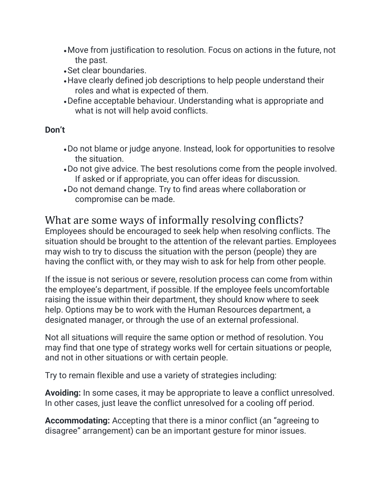- •Move from justification to resolution. Focus on actions in the future, not the past.
- •Set clear boundaries.
- •Have clearly defined job descriptions to help people understand their roles and what is expected of them.
- •Define acceptable behaviour. Understanding what is appropriate and what is not will help avoid conflicts.

#### **Don't**

- •Do not blame or judge anyone. Instead, look for opportunities to resolve the situation.
- •Do not give advice. The best resolutions come from the people involved. If asked or if appropriate, you can offer ideas for discussion.
- •Do not demand change. Try to find areas where collaboration or compromise can be made.

#### What are some ways of informally resolving conflicts?

Employees should be encouraged to seek help when resolving conflicts. The situation should be brought to the attention of the relevant parties. Employees may wish to try to discuss the situation with the person (people) they are having the conflict with, or they may wish to ask for help from other people.

If the issue is not serious or severe, resolution process can come from within the employee's department, if possible. If the employee feels uncomfortable raising the issue within their department, they should know where to seek help. Options may be to work with the Human Resources department, a designated manager, or through the use of an external professional.

Not all situations will require the same option or method of resolution. You may find that one type of strategy works well for certain situations or people, and not in other situations or with certain people.

Try to remain flexible and use a variety of strategies including:

**Avoiding:** In some cases, it may be appropriate to leave a conflict unresolved. In other cases, just leave the conflict unresolved for a cooling off period.

**Accommodating:** Accepting that there is a minor conflict (an "agreeing to disagree" arrangement) can be an important gesture for minor issues.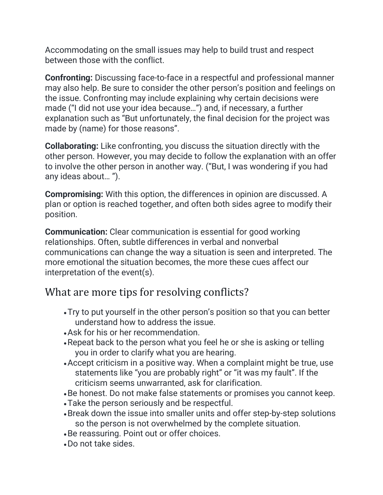Accommodating on the small issues may help to build trust and respect between those with the conflict.

**Confronting:** Discussing face-to-face in a respectful and professional manner may also help. Be sure to consider the other person's position and feelings on the issue. Confronting may include explaining why certain decisions were made ("I did not use your idea because…") and, if necessary, a further explanation such as "But unfortunately, the final decision for the project was made by (name) for those reasons".

**Collaborating:** Like confronting, you discuss the situation directly with the other person. However, you may decide to follow the explanation with an offer to involve the other person in another way. ("But, I was wondering if you had any ideas about… ").

**Compromising:** With this option, the differences in opinion are discussed. A plan or option is reached together, and often both sides agree to modify their position.

**Communication:** Clear communication is essential for good working relationships. Often, subtle differences in verbal and nonverbal communications can change the way a situation is seen and interpreted. The more emotional the situation becomes, the more these cues affect our interpretation of the event(s).

#### What are more tips for resolving conflicts?

- •Try to put yourself in the other person's position so that you can better understand how to address the issue.
- •Ask for his or her recommendation.
- •Repeat back to the person what you feel he or she is asking or telling you in order to clarify what you are hearing.
- •Accept criticism in a positive way. When a complaint might be true, use statements like "you are probably right" or "it was my fault". If the criticism seems unwarranted, ask for clarification.
- •Be honest. Do not make false statements or promises you cannot keep.
- •Take the person seriously and be respectful.
- •Break down the issue into smaller units and offer step-by-step solutions so the person is not overwhelmed by the complete situation.
- •Be reassuring. Point out or offer choices.
- •Do not take sides.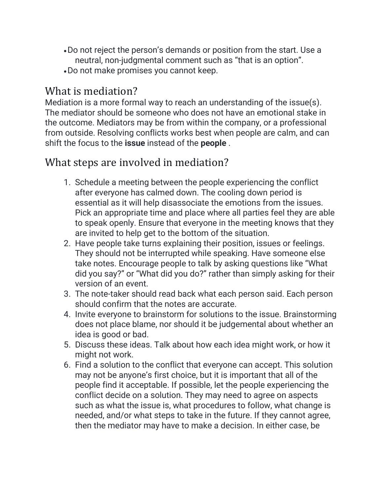- •Do not reject the person's demands or position from the start. Use a neutral, non-judgmental comment such as "that is an option".
- •Do not make promises you cannot keep.

### What is mediation?

Mediation is a more formal way to reach an understanding of the issue(s). The mediator should be someone who does not have an emotional stake in the outcome. Mediators may be from within the company, or a professional from outside. Resolving conflicts works best when people are calm, and can shift the focus to the **issue** instead of the **people** .

### What steps are involved in mediation?

- 1. Schedule a meeting between the people experiencing the conflict after everyone has calmed down. The cooling down period is essential as it will help disassociate the emotions from the issues. Pick an appropriate time and place where all parties feel they are able to speak openly. Ensure that everyone in the meeting knows that they are invited to help get to the bottom of the situation.
- 2. Have people take turns explaining their position, issues or feelings. They should not be interrupted while speaking. Have someone else take notes. Encourage people to talk by asking questions like "What did you say?" or "What did you do?" rather than simply asking for their version of an event.
- 3. The note-taker should read back what each person said. Each person should confirm that the notes are accurate.
- 4. Invite everyone to brainstorm for solutions to the issue. Brainstorming does not place blame, nor should it be judgemental about whether an idea is good or bad.
- 5. Discuss these ideas. Talk about how each idea might work, or how it might not work.
- 6. Find a solution to the conflict that everyone can accept. This solution may not be anyone's first choice, but it is important that all of the people find it acceptable. If possible, let the people experiencing the conflict decide on a solution. They may need to agree on aspects such as what the issue is, what procedures to follow, what change is needed, and/or what steps to take in the future. If they cannot agree, then the mediator may have to make a decision. In either case, be